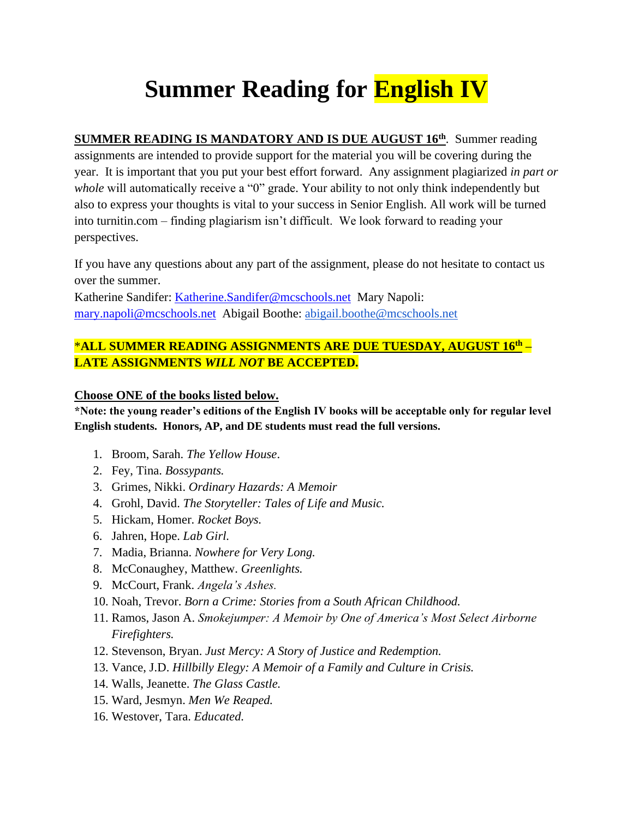## **Summer Reading for English IV**

**SUMMER READING IS MANDATORY AND IS DUE AUGUST 16th**. Summer reading assignments are intended to provide support for the material you will be covering during the year. It is important that you put your best effort forward. Any assignment plagiarized *in part or whole* will automatically receive a "0" grade. Your ability to not only think independently but also to express your thoughts is vital to your success in Senior English. All work will be turned into turnitin.com – finding plagiarism isn't difficult. We look forward to reading your perspectives.

If you have any questions about any part of the assignment, please do not hesitate to contact us over the summer.

Katherine Sandifer: Katherine.Sandifer@mcschools.net Mary Napoli: mary.napoli@mcschools.net Abigail Boothe: [abigail.boothe@mcschools.net](mailto:abigail.boothe@mcschools.net)

## \***ALL SUMMER READING ASSIGNMENTS ARE DUE TUESDAY, AUGUST 16th – LATE ASSIGNMENTS** *WILL NOT* **BE ACCEPTED.**

## **Choose ONE of the books listed below.**

**\*Note: the young reader's editions of the English IV books will be acceptable only for regular level English students. Honors, AP, and DE students must read the full versions.** 

- 1. Broom, Sarah. *The Yellow House*.
- 2. Fey, Tina. *Bossypants.*
- 3. Grimes, Nikki. *Ordinary Hazards: A Memoir*
- 4. Grohl, David. *The Storyteller: Tales of Life and Music.*
- 5. Hickam, Homer. *Rocket Boys.*
- 6. Jahren, Hope. *Lab Girl.*
- 7. Madia, Brianna. *Nowhere for Very Long.*
- 8. McConaughey, Matthew. *Greenlights.*
- 9. McCourt, Frank. *Angela's Ashes.*
- 10. Noah, Trevor. *Born a Crime: Stories from a South African Childhood.*
- 11. Ramos, Jason A. *Smokejumper: A Memoir by One of America's Most Select Airborne Firefighters.*
- 12. Stevenson, Bryan. *Just Mercy: A Story of Justice and Redemption.*
- 13. Vance, J.D. *Hillbilly Elegy: A Memoir of a Family and Culture in Crisis.*
- 14. Walls, Jeanette. *The Glass Castle.*
- 15. Ward, Jesmyn. *Men We Reaped.*
- 16. Westover, Tara. *Educated.*